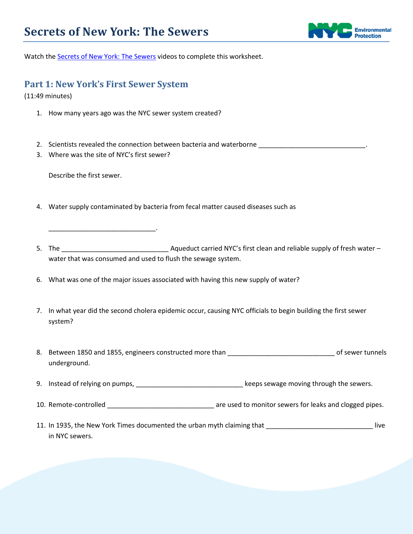

Watch the [Secrets of New York: The Sewers](http://www.nyc.gov/html/dep/html/environmental_education/secrets_of_new_york_vod01.shtml) videos to complete this worksheet.

## **Part 1: New York's First Sewer System**

(11:49 minutes)

- 1. How many years ago was the NYC sewer system created?
- 2. Scientists revealed the connection between bacteria and waterborne \_\_\_\_\_\_\_\_\_\_\_\_\_\_\_\_\_\_\_\_\_\_\_\_\_\_\_\_\_.
- 3. Where was the site of NYC's first sewer?

\_\_\_\_\_\_\_\_\_\_\_\_\_\_\_\_\_\_\_\_\_\_\_\_\_\_\_\_\_.

Describe the first sewer.

- 4. Water supply contaminated by bacteria from fecal matter caused diseases such as
- 5. The \_\_\_\_\_\_\_\_\_\_\_\_\_\_\_\_\_\_\_\_\_\_\_\_\_\_\_\_\_ Aqueduct carried NYC's first clean and reliable supply of fresh water water that was consumed and used to flush the sewage system.
- 6. What was one of the major issues associated with having this new supply of water?
- 7. In what year did the second cholera epidemic occur, causing NYC officials to begin building the first sewer system?
- 8. Between 1850 and 1855, engineers constructed more than \_\_\_\_\_\_\_\_\_\_\_\_\_\_\_\_\_\_\_\_\_\_\_\_\_\_\_\_\_ of sewer tunnels underground.
- 9. Instead of relying on pumps, \_\_\_\_\_\_\_\_\_\_\_\_\_\_\_\_\_\_\_\_\_\_\_\_\_\_\_\_\_\_\_\_\_\_\_keeps sewage moving through the sewers.
- 10. Remote-controlled **Exercise 20** are used to monitor sewers for leaks and clogged pipes.
- 11. In 1935, the New York Times documented the urban myth claiming that \_\_\_\_\_\_\_\_\_\_\_\_\_\_\_\_\_\_\_\_\_\_\_\_\_\_\_\_\_ live in NYC sewers.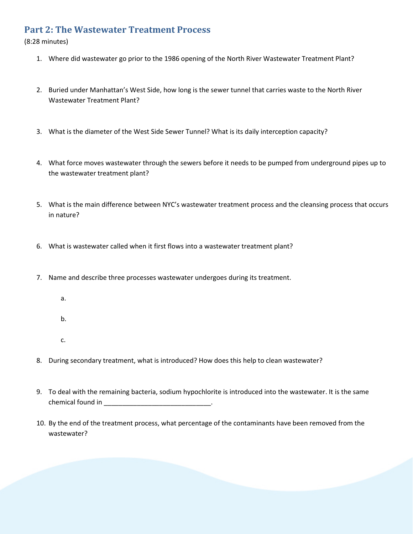## **Part 2: The Wastewater Treatment Process**

(8:28 minutes)

- 1. Where did wastewater go prior to the 1986 opening of the North River Wastewater Treatment Plant?
- 2. Buried under Manhattan's West Side, how long is the sewer tunnel that carries waste to the North River Wastewater Treatment Plant?
- 3. What is the diameter of the West Side Sewer Tunnel? What is its daily interception capacity?
- 4. What force moves wastewater through the sewers before it needs to be pumped from underground pipes up to the wastewater treatment plant?
- 5. What is the main difference between NYC's wastewater treatment process and the cleansing process that occurs in nature?
- 6. What is wastewater called when it first flows into a wastewater treatment plant?
- 7. Name and describe three processes wastewater undergoes during its treatment.
	- a.
	- b.
	- c.
- 8. During secondary treatment, what is introduced? How does this help to clean wastewater?
- 9. To deal with the remaining bacteria, sodium hypochlorite is introduced into the wastewater. It is the same chemical found in \_\_\_\_\_\_\_\_\_\_\_\_\_\_\_\_\_\_\_\_\_\_\_\_\_\_\_\_\_.
- 10. By the end of the treatment process, what percentage of the contaminants have been removed from the wastewater?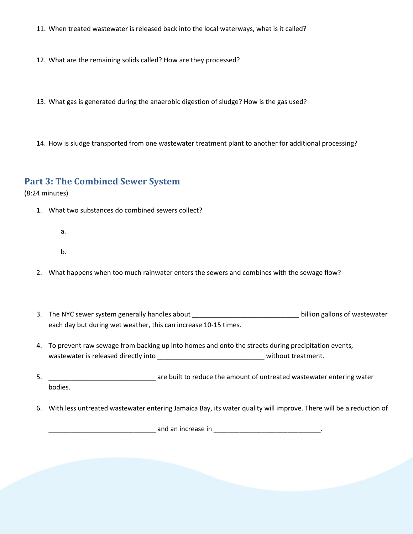11. When treated wastewater is released back into the local waterways, what is it called?

12. What are the remaining solids called? How are they processed?

13. What gas is generated during the anaerobic digestion of sludge? How is the gas used?

14. How is sludge transported from one wastewater treatment plant to another for additional processing?

## **Part 3: The Combined Sewer System**

(8:24 minutes)

- 1. What two substances do combined sewers collect?
	- a.
	- b.
- 2. What happens when too much rainwater enters the sewers and combines with the sewage flow?
- 3. The NYC sewer system generally handles about **the substantial entity of the State State** billion gallons of wastewater each day but during wet weather, this can increase 10-15 times.
- 4. To prevent raw sewage from backing up into homes and onto the streets during precipitation events, wastewater is released directly into **wastewater is released directly** into
- 5. \_\_\_\_\_\_\_\_\_\_\_\_\_\_\_\_\_\_\_\_\_\_\_\_\_\_\_\_\_ are built to reduce the amount of untreated wastewater entering water bodies.
- 6. With less untreated wastewater entering Jamaica Bay, its water quality will improve. There will be a reduction of

\_\_\_\_\_\_\_\_\_\_\_\_\_\_\_\_\_\_\_\_\_\_\_\_\_\_\_\_\_ and an increase in \_\_\_\_\_\_\_\_\_\_\_\_\_\_\_\_\_\_\_\_\_\_\_\_\_\_\_\_\_.